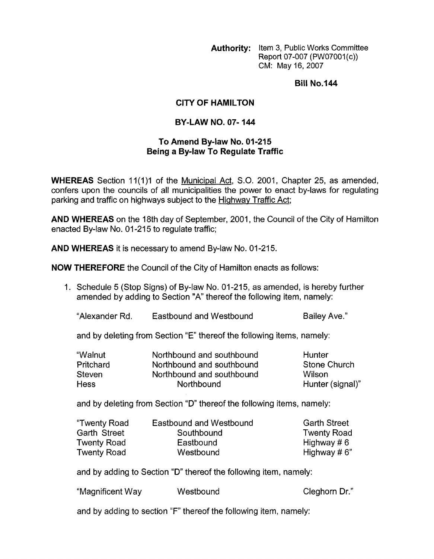**Authority:** Item 3, Public Works Committee Report 07-007 (PW07001(c)) CM: May 16,2007

**Bill No.144** 

## **CITY OF HAMILTON**

## **BY-LAW NO. 07- 144**

## **To Amend By-law No. 01-215 Being a By-law To Regulate Traffic**

**WHEREAS** Section 11(1)1 of the Municipal Act, S.O. 2001, Chapter 25, as amended, confers upon the councils of all municipalities the power to enact by-laws for regulating parking and traffic on highways subject to the Hiqhwav Traffic Act;

**AND WHEREAS** on the 18th day of September, 2001, the Council of the City of Hamilton enacted By-law No. 01-215 to regulate traffic;

**AND WHEREAS** it is necessary to amend By-law No. 01-215.

**NOW THEREFORE** the Council of the City of Hamilton enacts as follows:

1. Schedule 5 (Stop Signs) of By-law No. 01-215, as amended, is hereby further amended by adding to Section "A" thereof the following item, namely:

"Alexander Rd. Eastbound and Westbound Failey Ave."

and by deleting from Section "E" thereof the following items, namely:

| "Walnut          | Northbound and southbound | Hunter           |
|------------------|---------------------------|------------------|
| <b>Pritchard</b> | Northbound and southbound | Stone Church     |
| <b>Steven</b>    | Northbound and southbound | Wilson           |
| <b>Hess</b>      | Northbound                | Hunter (signal)" |

and by deleting from Section "D" thereof the following items, namely:

| "Twenty Road | Eastbound and Westbound | <b>Garth Street</b> |
|--------------|-------------------------|---------------------|
| Garth Street | Southbound              | <b>Twenty Road</b>  |
| Twenty Road  | Eastbound               | Highway # $6$       |
| Twenty Road  | Westbound               | Highway # $6"$      |

and by adding to Section "D" thereof the following item, namely:

| "Magnificent Way | Westbound | Cleghorn Dr." |
|------------------|-----------|---------------|
|------------------|-----------|---------------|

and by adding to section "F" thereof the following item, namely: